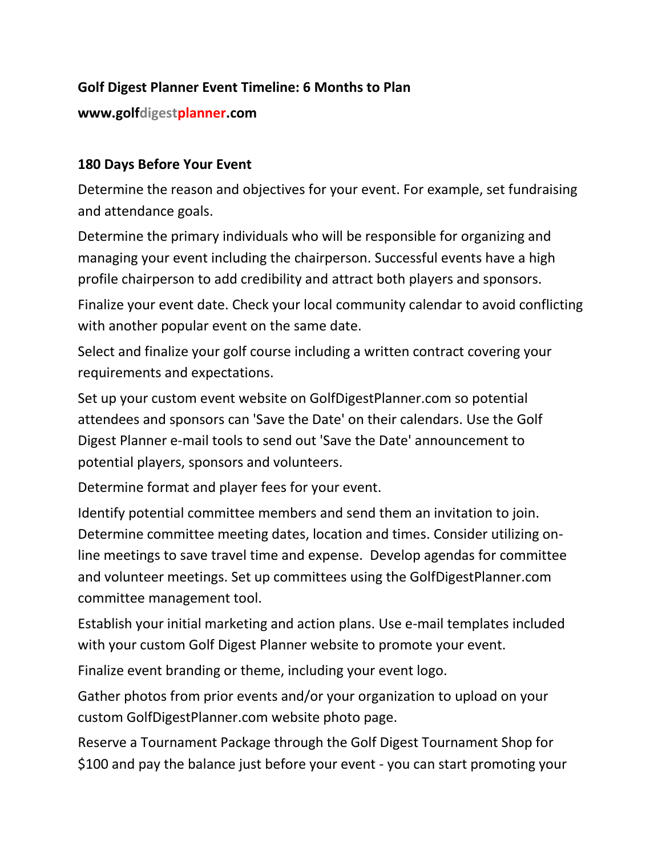# **Golf Digest Planner Event Timeline: 6 Months to Plan**

#### **www.golfdigestplanner.com**

#### **180 Days Before Your Event**

Determine the reason and objectives for your event. For example, set fundraising and attendance goals.

Determine the primary individuals who will be responsible for organizing and managing your event including the chairperson. Successful events have a high profile chairperson to add credibility and attract both players and sponsors.

Finalize your event date. Check your local community calendar to avoid conflicting with another popular event on the same date.

Select and finalize your golf course including a written contract covering your requirements and expectations.

Set up your custom event website on GolfDigestPlanner.com so potential attendees and sponsors can 'Save the Date' on their calendars. Use the Golf Digest Planner e-mail tools to send out 'Save the Date' announcement to potential players, sponsors and volunteers.

Determine format and player fees for your event.

Identify potential committee members and send them an invitation to join. Determine committee meeting dates, location and times. Consider utilizing online meetings to save travel time and expense. Develop agendas for committee and volunteer meetings. Set up committees using the GolfDigestPlanner.com committee management tool.

Establish your initial marketing and action plans. Use e-mail templates included with your custom Golf Digest Planner website to promote your event.

Finalize event branding or theme, including your event logo.

Gather photos from prior events and/or your organization to upload on your custom GolfDigestPlanner.com website photo page.

Reserve a Tournament Package through the Golf Digest Tournament Shop for \$100 and pay the balance just before your event - you can start promoting your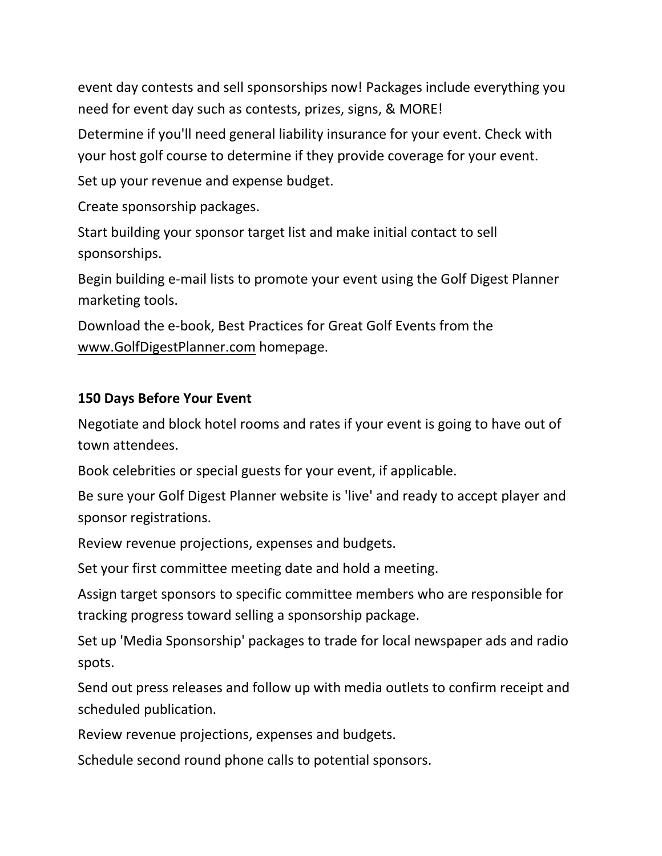event day contests and sell sponsorships now! Packages include everything you need for event day such as contests, prizes, signs, & MORE!

Determine if you'll need general liability insurance for your event. Check with your host golf course to determine if they provide coverage for your event.

Set up your revenue and expense budget.

Create sponsorship packages.

Start building your sponsor target list and make initial contact to sell sponsorships.

Begin building e-mail lists to promote your event using the Golf Digest Planner marketing tools.

Download the e-book, Best Practices for Great Golf Events from the [www.GolfDigestPlanner.com](http://www.golfdigestplanner.com/) homepage.

## **150 Days Before Your Event**

Negotiate and block hotel rooms and rates if your event is going to have out of town attendees.

Book celebrities or special guests for your event, if applicable.

Be sure your Golf Digest Planner website is 'live' and ready to accept player and sponsor registrations.

Review revenue projections, expenses and budgets.

Set your first committee meeting date and hold a meeting.

Assign target sponsors to specific committee members who are responsible for tracking progress toward selling a sponsorship package.

Set up 'Media Sponsorship' packages to trade for local newspaper ads and radio spots.

Send out press releases and follow up with media outlets to confirm receipt and scheduled publication.

Review revenue projections, expenses and budgets.

Schedule second round phone calls to potential sponsors.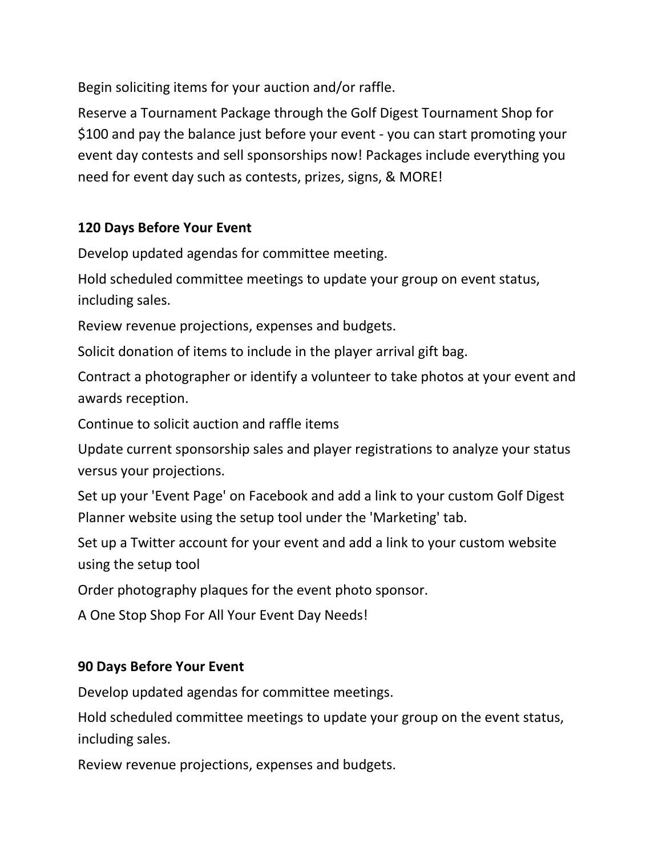Begin soliciting items for your auction and/or raffle.

Reserve a Tournament Package through the Golf Digest Tournament Shop for \$100 and pay the balance just before your event - you can start promoting your event day contests and sell sponsorships now! Packages include everything you need for event day such as contests, prizes, signs, & MORE!

# **120 Days Before Your Event**

Develop updated agendas for committee meeting.

Hold scheduled committee meetings to update your group on event status, including sales.

Review revenue projections, expenses and budgets.

Solicit donation of items to include in the player arrival gift bag.

Contract a photographer or identify a volunteer to take photos at your event and awards reception.

Continue to solicit auction and raffle items

Update current sponsorship sales and player registrations to analyze your status versus your projections.

Set up your 'Event Page' on Facebook and add a link to your custom Golf Digest Planner website using the setup tool under the 'Marketing' tab.

Set up a Twitter account for your event and add a link to your custom website using the setup tool

Order photography plaques for the event photo sponsor.

A One Stop Shop For All Your Event Day Needs!

## **90 Days Before Your Event**

Develop updated agendas for committee meetings.

Hold scheduled committee meetings to update your group on the event status, including sales.

Review revenue projections, expenses and budgets.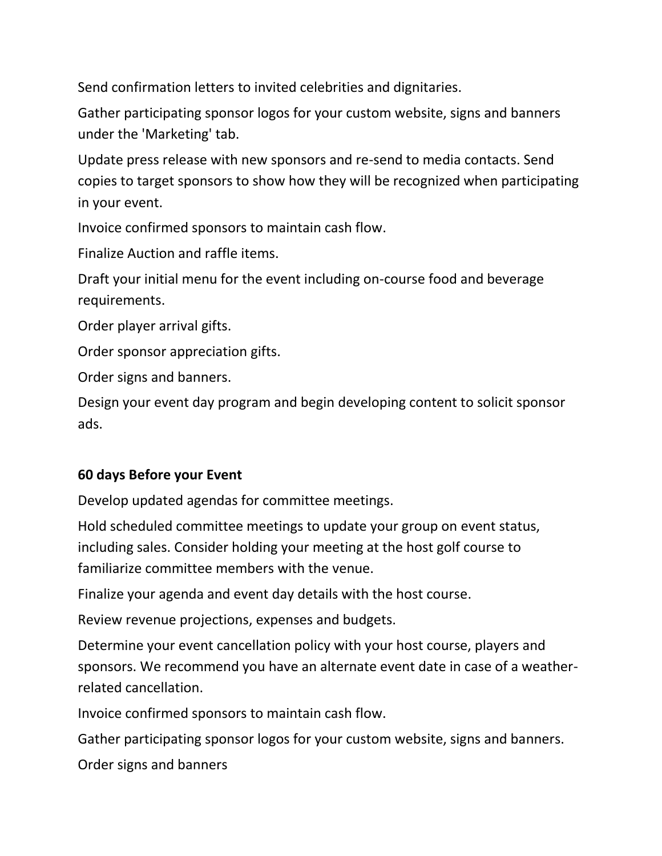Send confirmation letters to invited celebrities and dignitaries.

Gather participating sponsor logos for your custom website, signs and banners under the 'Marketing' tab.

Update press release with new sponsors and re-send to media contacts. Send copies to target sponsors to show how they will be recognized when participating in your event.

Invoice confirmed sponsors to maintain cash flow.

Finalize Auction and raffle items.

Draft your initial menu for the event including on-course food and beverage requirements.

Order player arrival gifts.

Order sponsor appreciation gifts.

Order signs and banners.

Design your event day program and begin developing content to solicit sponsor ads.

## **60 days Before your Event**

Develop updated agendas for committee meetings.

Hold scheduled committee meetings to update your group on event status, including sales. Consider holding your meeting at the host golf course to familiarize committee members with the venue.

Finalize your agenda and event day details with the host course.

Review revenue projections, expenses and budgets.

Determine your event cancellation policy with your host course, players and sponsors. We recommend you have an alternate event date in case of a weatherrelated cancellation.

Invoice confirmed sponsors to maintain cash flow.

Gather participating sponsor logos for your custom website, signs and banners.

Order signs and banners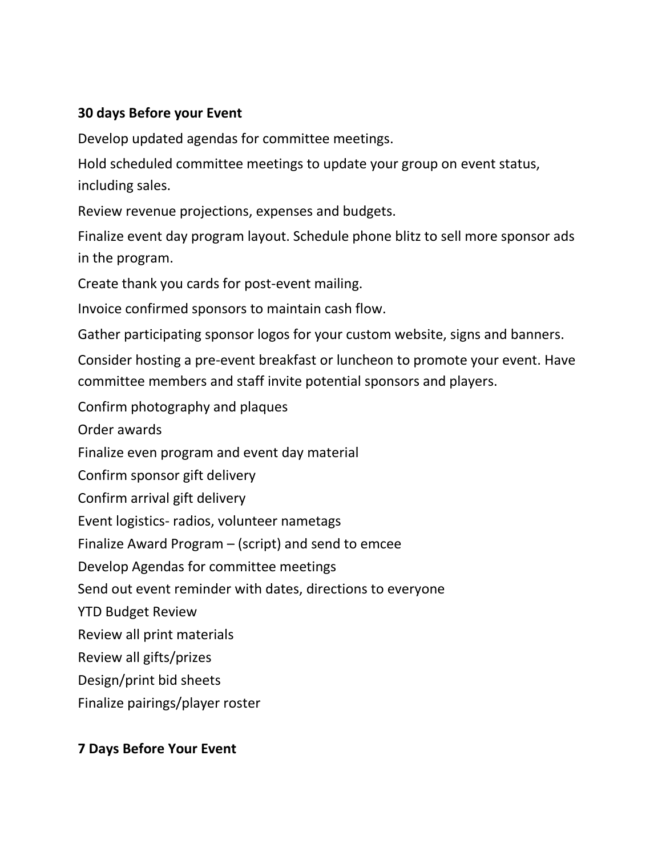## **30 days Before your Event**

Develop updated agendas for committee meetings.

Hold scheduled committee meetings to update your group on event status, including sales.

Review revenue projections, expenses and budgets.

Finalize event day program layout. Schedule phone blitz to sell more sponsor ads in the program.

Create thank you cards for post-event mailing.

Invoice confirmed sponsors to maintain cash flow.

Gather participating sponsor logos for your custom website, signs and banners.

Consider hosting a pre-event breakfast or luncheon to promote your event. Have committee members and staff invite potential sponsors and players.

Confirm photography and plaques

Order awards

Finalize even program and event day material

Confirm sponsor gift delivery

Confirm arrival gift delivery

Event logistics- radios, volunteer nametags

Finalize Award Program – (script) and send to emcee

Develop Agendas for committee meetings

Send out event reminder with dates, directions to everyone

YTD Budget Review

Review all print materials

Review all gifts/prizes

Design/print bid sheets

Finalize pairings/player roster

## **7 Days Before Your Event**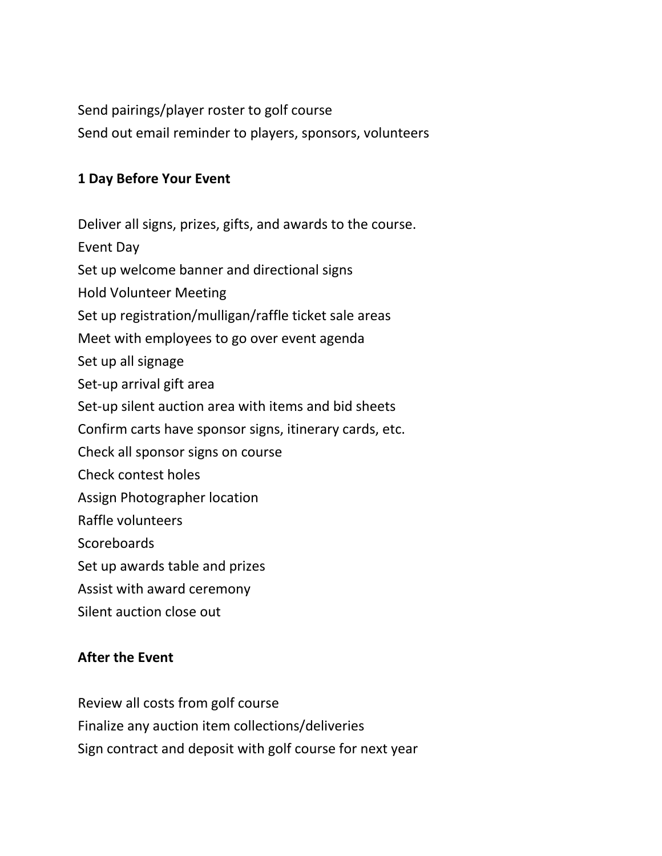Send pairings/player roster to golf course Send out email reminder to players, sponsors, volunteers

#### **1 Day Before Your Event**

Deliver all signs, prizes, gifts, and awards to the course.

Event Day

Set up welcome banner and directional signs

Hold Volunteer Meeting

Set up registration/mulligan/raffle ticket sale areas

Meet with employees to go over event agenda

Set up all signage

Set-up arrival gift area

Set-up silent auction area with items and bid sheets

Confirm carts have sponsor signs, itinerary cards, etc.

Check all sponsor signs on course

Check contest holes

Assign Photographer location

Raffle volunteers

**Scoreboards** 

Set up awards table and prizes

Assist with award ceremony

Silent auction close out

#### **After the Event**

Review all costs from golf course Finalize any auction item collections/deliveries Sign contract and deposit with golf course for next year